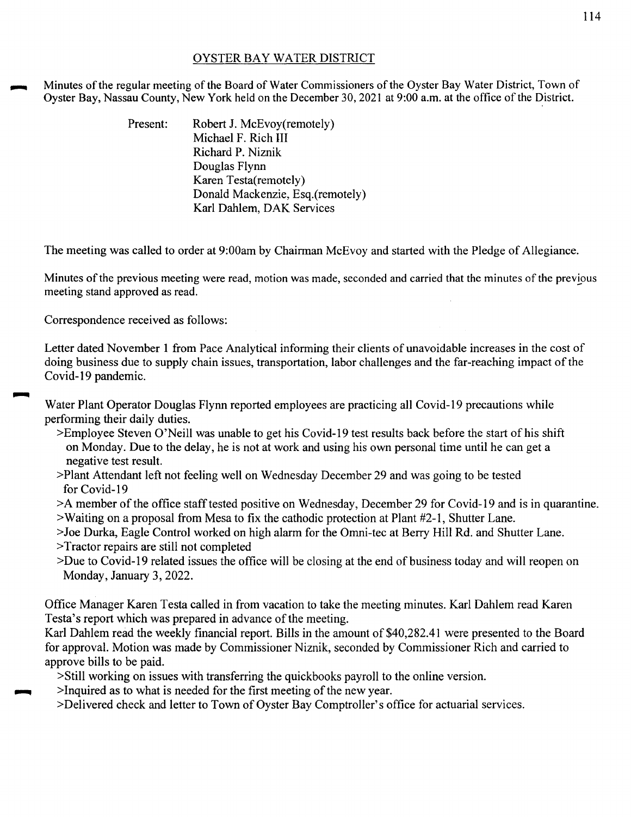## OYSTER BAY WATER DISTRICT

Minutes of the regular meeting of the Board of Water Commissioners of the Oyster Bay Water District, Town of Oyster Bay, Nassau County, New York held on the December 30, 2021 at 9:00 a.m. at the office of the District.

> Present: Robert J. McEvov(remotely) Michael F. Rich III Richard P. Niznik Douglas Flynn Karen Testa(remotely) Donald Mackenzie, Esq.(remotely) Karl Dahlem, DAK Services

The meeting was called to order at 9:00am by Chairman McEvoy and started with the Pledge of Allegiance.

Minutes of the previous meeting were read, motion was made, seconded and carried that the minutes of the previous meeting stand approved as read.

Correspondence received as follows:

Letter dated November 1 from Pace Analytical informing their clients of unavoidable increases in the cost of doing business due to supply chain issues, transportation, labor challenges and the far-reaching impact of the Covid-19 pandemic.

Water Plant Operator Douglas Flynn reported employees are practicing all Covid-19 precautions while performing their daily duties.

- >Employee Steven O'Neill was unable to get his Covid-19 test results back before the start of his shift on Monday. Due to the delay, he is not at work and using his own personal time until he can get a negative test result.
- >Plant Attendant left not feeling well on Wednesday December 29 and was going to be tested for Covid-19
- >A member of the office staff tested positive on Wednesday, December 29 for Covid-19 and is in quarantine.
- >Waiting on a proposal from Mesa to fix the cathodic protection at Plant #2-1, Shutter Lane.
- >Joe Durka, Eagle Control worked on high alarm for the Omni-tec at Berry Hill Rd. and Shutter Lane.
- >Tractor repairs are still not completed
- >Due to Covid-19 related issues the office will be closing at the end of business today and will reopen on Monday, January 3, 2022.

Office Manager Karen Testa called in from vacation to take the meeting minutes. Karl Dahlem read Karen Testa's report which was prepared in advance of the meeting.

Karl Dahlem read the weekly financial report. Bills in the amount of \$40,282.41 were presented to the Board for approval. Motion was made by Commissioner Niznik, seconded by Commissioner Rich and carried to approve bills to be paid.

>Still working on issues with transferring the quickbooks payroll to the online version .

 $\ge$ Inquired as to what is needed for the first meeting of the new year.

>Delivered check and letter to Town of Oyster Bay Comptroller's office for actuarial services.